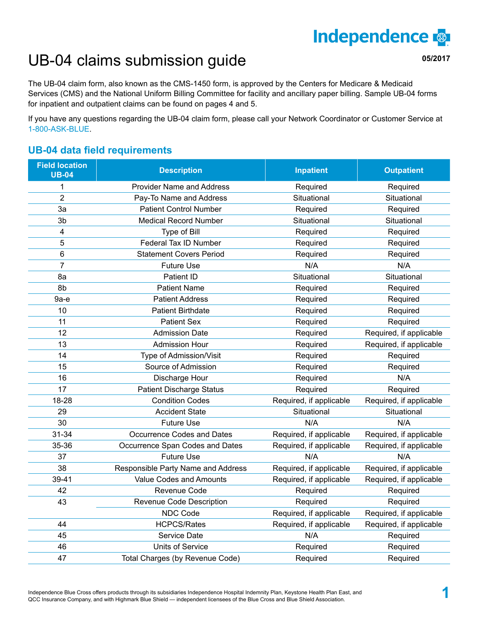# **Independence**

**05/2017**

## UB-04 claims submission guide

The UB-04 claim form, also known as the CMS-1450 form, is approved by the Centers for Medicare & Medicaid Services (CMS) and the National Uniform Billing Committee for facility and ancillary paper billing. Sample UB-04 forms for inpatient and outpatient claims can be found on pages 4 and 5.

If you have any questions regarding the UB-04 claim form, please call your Network Coordinator or Customer Service at 1-800-ASK-BLUE.

#### **UB-04 data field requirements**

| <b>Field location</b><br><b>UB-04</b> | <b>Description</b>                 | <b>Inpatient</b>        | <b>Outpatient</b>       |  |  |  |  |
|---------------------------------------|------------------------------------|-------------------------|-------------------------|--|--|--|--|
| $\mathbf{1}$                          | <b>Provider Name and Address</b>   | Required                | Required                |  |  |  |  |
| $\overline{2}$                        | Pay-To Name and Address            | Situational             | Situational             |  |  |  |  |
| 3a                                    | <b>Patient Control Number</b>      | Required                | Required                |  |  |  |  |
| 3 <sub>b</sub>                        | <b>Medical Record Number</b>       | Situational             | Situational             |  |  |  |  |
| 4                                     | Type of Bill                       | Required                | Required                |  |  |  |  |
| 5                                     | Federal Tax ID Number              | Required                | Required                |  |  |  |  |
| 6                                     | <b>Statement Covers Period</b>     | Required                | Required                |  |  |  |  |
| $\overline{7}$                        | <b>Future Use</b>                  | N/A                     | N/A                     |  |  |  |  |
| 8a                                    | Patient ID                         | Situational             | Situational             |  |  |  |  |
| 8b                                    | <b>Patient Name</b>                | Required                | Required                |  |  |  |  |
| $9a-e$                                | <b>Patient Address</b>             | Required                | Required                |  |  |  |  |
| 10                                    | <b>Patient Birthdate</b>           | Required                | Required                |  |  |  |  |
| 11                                    | <b>Patient Sex</b>                 | Required                | Required                |  |  |  |  |
| 12                                    | <b>Admission Date</b>              | Required                | Required, if applicable |  |  |  |  |
| 13                                    | <b>Admission Hour</b>              | Required                | Required, if applicable |  |  |  |  |
| 14                                    | Type of Admission/Visit            | Required                | Required                |  |  |  |  |
| 15                                    | Source of Admission                | Required                | Required                |  |  |  |  |
| 16                                    | Discharge Hour                     | Required                | N/A                     |  |  |  |  |
| 17                                    | <b>Patient Discharge Status</b>    | Required                | Required                |  |  |  |  |
| 18-28                                 | <b>Condition Codes</b>             | Required, if applicable | Required, if applicable |  |  |  |  |
| 29                                    | <b>Accident State</b>              | Situational             | Situational             |  |  |  |  |
| 30                                    | <b>Future Use</b>                  | N/A                     | N/A                     |  |  |  |  |
| 31-34                                 | Occurrence Codes and Dates         | Required, if applicable | Required, if applicable |  |  |  |  |
| 35-36                                 | Occurrence Span Codes and Dates    | Required, if applicable | Required, if applicable |  |  |  |  |
| 37                                    | <b>Future Use</b>                  | N/A                     | N/A                     |  |  |  |  |
| 38                                    | Responsible Party Name and Address | Required, if applicable | Required, if applicable |  |  |  |  |
| 39-41                                 | Value Codes and Amounts            | Required, if applicable | Required, if applicable |  |  |  |  |
| 42                                    | Revenue Code                       | Required                | Required                |  |  |  |  |
| 43                                    | Revenue Code Description           | Required                | Required                |  |  |  |  |
|                                       | NDC Code                           | Required, if applicable | Required, if applicable |  |  |  |  |
| 44                                    | <b>HCPCS/Rates</b>                 | Required, if applicable | Required, if applicable |  |  |  |  |
| 45                                    | Service Date                       | N/A                     | Required                |  |  |  |  |
| 46                                    | Units of Service                   | Required                | Required                |  |  |  |  |
| 47                                    | Total Charges (by Revenue Code)    | Required                | Required                |  |  |  |  |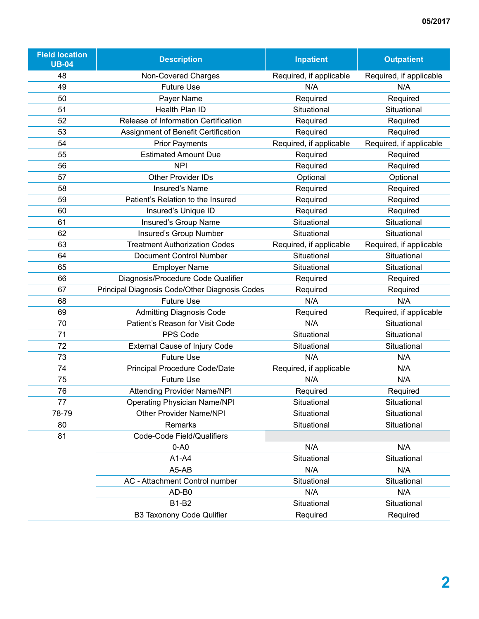| <b>Field location</b><br><b>UB-04</b> | <b>Description</b>                             | <b>Inpatient</b>        | <b>Outpatient</b>       |  |  |  |
|---------------------------------------|------------------------------------------------|-------------------------|-------------------------|--|--|--|
| 48                                    | Non-Covered Charges                            | Required, if applicable | Required, if applicable |  |  |  |
| 49                                    | <b>Future Use</b>                              | N/A                     | N/A                     |  |  |  |
| 50                                    | Payer Name                                     | Required                | Required                |  |  |  |
| 51                                    | Health Plan ID                                 | Situational             | Situational             |  |  |  |
| 52                                    | Release of Information Certification           | Required                | Required                |  |  |  |
| 53                                    | Assignment of Benefit Certification            | Required                | Required                |  |  |  |
| 54                                    | <b>Prior Payments</b>                          | Required, if applicable | Required, if applicable |  |  |  |
| 55                                    | <b>Estimated Amount Due</b>                    | Required                | Required                |  |  |  |
| 56                                    | <b>NPI</b>                                     | Required                | Required                |  |  |  |
| 57                                    | <b>Other Provider IDs</b>                      | Optional                | Optional                |  |  |  |
| 58                                    | Insured's Name                                 | Required                | Required                |  |  |  |
| 59                                    | Patient's Relation to the Insured              | Required                | Required                |  |  |  |
| 60                                    | Insured's Unique ID                            | Required                | Required                |  |  |  |
| 61                                    | Insured's Group Name                           | Situational             | Situational             |  |  |  |
| 62                                    | Insured's Group Number                         | Situational             | Situational             |  |  |  |
| 63                                    | <b>Treatment Authorization Codes</b>           | Required, if applicable | Required, if applicable |  |  |  |
| 64                                    | <b>Document Control Number</b>                 | Situational             | Situational             |  |  |  |
| 65                                    | <b>Employer Name</b>                           | Situational             | Situational             |  |  |  |
| 66                                    | Diagnosis/Procedure Code Qualifier             | Required                | Required                |  |  |  |
| 67                                    | Principal Diagnosis Code/Other Diagnosis Codes | Required                | Required                |  |  |  |
| 68                                    | <b>Future Use</b>                              | N/A                     | N/A                     |  |  |  |
| 69                                    | <b>Admitting Diagnosis Code</b>                | Required                | Required, if applicable |  |  |  |
| 70                                    | Patient's Reason for Visit Code                | N/A                     | Situational             |  |  |  |
| 71                                    | PPS Code                                       | Situational             | Situational             |  |  |  |
| 72                                    | <b>External Cause of Injury Code</b>           | Situational             | Situational             |  |  |  |
| 73                                    | <b>Future Use</b>                              | N/A                     | N/A                     |  |  |  |
| 74                                    | <b>Principal Procedure Code/Date</b>           | Required, if applicable | N/A                     |  |  |  |
| 75                                    | <b>Future Use</b>                              | N/A                     | N/A                     |  |  |  |
| 76                                    | <b>Attending Provider Name/NPI</b>             | Required                | Required                |  |  |  |
| 77                                    | <b>Operating Physician Name/NPI</b>            | Situational             | Situational             |  |  |  |
| 78-79                                 | <b>Other Provider Name/NPI</b>                 | Situational             | Situational             |  |  |  |
| 80                                    | Remarks                                        | Situational             | Situational             |  |  |  |
| 81                                    | Code-Code Field/Qualifiers                     |                         |                         |  |  |  |
|                                       | $0-A0$                                         | N/A                     | N/A                     |  |  |  |
|                                       | $A1-A4$                                        | Situational             | Situational             |  |  |  |
|                                       | A5-AB                                          | N/A                     | N/A                     |  |  |  |
|                                       | AC - Attachment Control number                 | Situational             | Situational             |  |  |  |
|                                       | AD-B0                                          | N/A                     | N/A                     |  |  |  |
|                                       | <b>B1-B2</b>                                   | Situational             | Situational             |  |  |  |
|                                       | <b>B3 Taxonony Code Qulifier</b>               | Required                | Required                |  |  |  |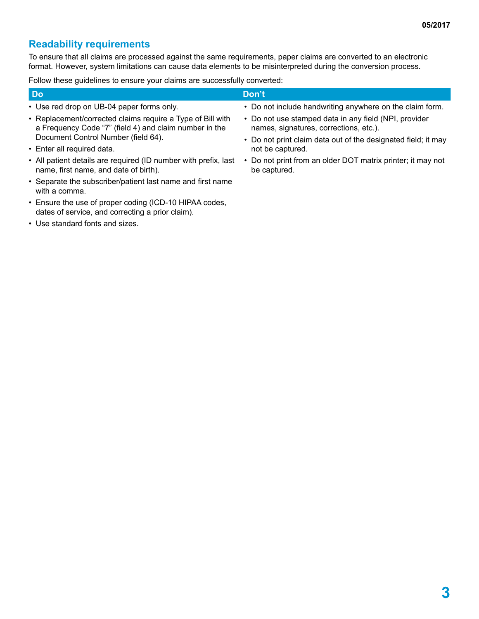#### **Readability requirements**

To ensure that all claims are processed against the same requirements, paper claims are converted to an electronic format. However, system limitations can cause data elements to be misinterpreted during the conversion process.

Follow these guidelines to ensure your claims are successfully converted:

|                                           | Don't                                                    |
|-------------------------------------------|----------------------------------------------------------|
| • Use red drop on UB-04 paper forms only. | • Do not include handwriting anywhere on the claim form. |

- Replacement/corrected claims require a Type of Bill with a Frequency Code "7" (field 4) and claim number in the Document Control Number (field 64).
- Enter all required data.
- All patient details are required (ID number with prefix, last name, first name, and date of birth).
- Separate the subscriber/patient last name and first name with a comma.
- Ensure the use of proper coding (ICD-10 HIPAA codes, dates of service, and correcting a prior claim).
- Use standard fonts and sizes.
- Do not include handwriting anywhere on the claim form.
- Do not use stamped data in any field (NPI, provider names, signatures, corrections, etc.).
- Do not print claim data out of the designated field; it may not be captured.
- Do not print from an older DOT matrix printer; it may not be captured.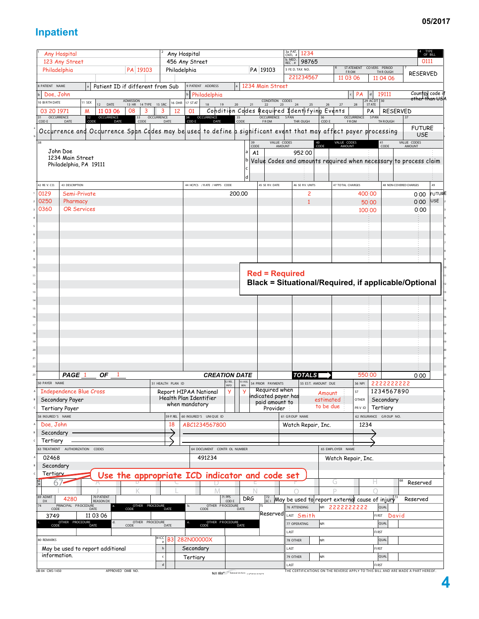### **Inpatient**

|                     | Any Hospital                     |                                                                                                                 |                                 |                   | Any Hospital           |                              |                          |                                      | 3a PAT.<br>CNTL #<br>1234                                                           |                                       |                           |                            |                        | TYPE<br>OF BILL                   |               |
|---------------------|----------------------------------|-----------------------------------------------------------------------------------------------------------------|---------------------------------|-------------------|------------------------|------------------------------|--------------------------|--------------------------------------|-------------------------------------------------------------------------------------|---------------------------------------|---------------------------|----------------------------|------------------------|-----------------------------------|---------------|
|                     | 123 Any Street                   |                                                                                                                 |                                 |                   | 456 Any Street         |                              |                          |                                      | b. MED. REC. #<br>98765                                                             |                                       |                           |                            |                        | 0111                              |               |
| Philadelphia        |                                  | PA 19103                                                                                                        |                                 | Philadelphia      |                        |                              |                          | PA 19103                             | 5 FE D. TAX NO.                                                                     |                                       | <b>ST ATEMENT</b><br>FROM | COVERS PERIOD<br>TH R OUGH |                        |                                   |               |
|                     |                                  |                                                                                                                 |                                 |                   |                        |                              |                          |                                      | 221234567                                                                           | 11 03 06                              |                           | 11 04 06                   |                        | <b>RESERVED</b>                   |               |
|                     |                                  |                                                                                                                 |                                 |                   |                        |                              |                          |                                      |                                                                                     |                                       |                           |                            |                        |                                   |               |
| <b>PATIENT NAME</b> |                                  | Patient ID if different from Sub                                                                                |                                 |                   | 9 PATIENT ADDRESS      |                              |                          | 1234 Main Street                     |                                                                                     |                                       |                           |                            |                        |                                   |               |
| Doe, John           |                                  |                                                                                                                 |                                 |                   |                        | <b>b</b> Philadelphia        |                          |                                      |                                                                                     |                                       | <b>PA</b>                 | 19111                      |                        | Country code if<br>other than USA |               |
| 0 BIRTH DATE        | 11 SEX                           | ADMISSION<br>13 HR 14 TYPE 15 SRC<br>12 DATE                                                                    |                                 |                   | 16 DHR 17 ST AT        | $18$<br>19                   | $20\,$<br>21             | CONDITION CODES<br>22 23             | 24<br>25                                                                            | $26\,$<br>$27\,$                      | ${\bf 28}$                | 29 ACDT 30                 |                        |                                   |               |
| 03 20 1971          | м                                | 11 03 06<br>08<br>3                                                                                             | 3                               | 12                | 01                     |                              |                          |                                      | Condition Codes Required Identifying Events                                         |                                       |                           | PA                         | <b>RESERVED</b>        |                                   |               |
| 31 OCCURRENCE       | $\frac{32}{CODE}$                | OCCURRENCE<br>DATE<br>33<br>CODE                                                                                | OCCURRENCE                      |                   |                        | 34 OCCURRENCE<br>COD E DATE  | $\frac{35}{\text{CODE}}$ | OCCURRENCE SPAN                      |                                                                                     | $36$<br>COD E                         | OCCURRENCE<br>FROM        | SPAN                       | 37                     |                                   |               |
| COD E               | DATE                             |                                                                                                                 |                                 | DATE              |                        |                              |                          | FROM                                 | THR OUGH                                                                            |                                       |                           | TH ROUGH                   |                        |                                   |               |
|                     |                                  | Occurrence and Occurrence Span Codes may be used to define a sighificant event that may affect payer processing |                                 |                   |                        |                              |                          |                                      |                                                                                     |                                       |                           |                            |                        | <b>FUTURE</b>                     |               |
|                     |                                  |                                                                                                                 |                                 |                   |                        |                              |                          |                                      |                                                                                     |                                       |                           |                            |                        | <b>USE</b>                        |               |
| 38                  |                                  |                                                                                                                 |                                 |                   |                        |                              | 39<br>CODE               | VALUE CODES<br>AMOUNT                |                                                                                     | VALUE CODES<br>AMOUNT<br>$40$<br>CODE |                           | 41<br>CODE                 |                        | VALUE CODES<br>AMOUNT             |               |
|                     | John Doe                         |                                                                                                                 |                                 |                   |                        |                              | A1                       |                                      | 952:00                                                                              |                                       |                           |                            |                        |                                   |               |
|                     | 1234 Main Street                 |                                                                                                                 |                                 |                   |                        |                              |                          |                                      | Value Codes and amounts required when necessary to process claim                    |                                       |                           |                            |                        |                                   |               |
|                     | Philadelphia, PA 19111           |                                                                                                                 |                                 |                   |                        |                              |                          |                                      |                                                                                     |                                       |                           |                            |                        |                                   |               |
|                     |                                  |                                                                                                                 |                                 |                   |                        |                              |                          |                                      |                                                                                     |                                       |                           |                            |                        |                                   |               |
|                     |                                  |                                                                                                                 |                                 |                   |                        |                              | d                        |                                      |                                                                                     |                                       |                           |                            |                        |                                   |               |
| 42 RE V. CD.        | 43 DESCRIPTION                   |                                                                                                                 |                                 |                   |                        | 44 HCPCS / RATE / HIPPS CODE |                          | 45 SE RV. DATE                       | 46 SE RV. UNITS                                                                     | 47 TOTAL CHARGES                      |                           |                            | 48 NON-COVERED CHARGES |                                   | 49            |
| 0129                | Semi-Private                     |                                                                                                                 |                                 |                   |                        |                              | 200,00                   |                                      | 2                                                                                   |                                       | 400 00                    |                            |                        | 0.00                              | <b>FUTURE</b> |
| 0250                |                                  |                                                                                                                 |                                 |                   |                        |                              |                          |                                      | $\mathbf{1}$                                                                        |                                       |                           |                            |                        | 0.00                              | USE           |
|                     | Pharmacy                         |                                                                                                                 |                                 |                   |                        |                              |                          |                                      |                                                                                     |                                       | 50 00                     |                            |                        |                                   |               |
| 0360                | <b>OR Services</b>               |                                                                                                                 |                                 |                   |                        |                              |                          |                                      |                                                                                     |                                       | 100 00                    |                            |                        | 0.00                              |               |
|                     |                                  |                                                                                                                 |                                 |                   |                        |                              |                          |                                      |                                                                                     |                                       |                           |                            |                        |                                   |               |
|                     |                                  |                                                                                                                 |                                 |                   |                        |                              |                          |                                      |                                                                                     |                                       |                           |                            |                        |                                   |               |
|                     |                                  |                                                                                                                 |                                 |                   |                        |                              |                          |                                      |                                                                                     |                                       |                           |                            |                        |                                   |               |
|                     |                                  |                                                                                                                 |                                 |                   |                        |                              |                          |                                      |                                                                                     |                                       |                           |                            |                        |                                   |               |
|                     |                                  |                                                                                                                 |                                 |                   |                        |                              |                          |                                      |                                                                                     |                                       |                           |                            |                        |                                   |               |
|                     |                                  |                                                                                                                 |                                 |                   |                        |                              |                          |                                      |                                                                                     |                                       |                           |                            |                        |                                   |               |
|                     |                                  |                                                                                                                 |                                 |                   |                        |                              |                          |                                      |                                                                                     |                                       |                           |                            |                        |                                   |               |
|                     |                                  |                                                                                                                 |                                 |                   |                        |                              |                          |                                      |                                                                                     |                                       |                           |                            |                        |                                   |               |
|                     |                                  |                                                                                                                 |                                 |                   |                        |                              |                          | <b>Red = Required</b>                |                                                                                     |                                       |                           |                            |                        |                                   |               |
|                     |                                  |                                                                                                                 |                                 |                   |                        |                              |                          |                                      | Black = Situational/Required, if applicable/Optional                                |                                       |                           |                            |                        |                                   |               |
|                     |                                  |                                                                                                                 |                                 |                   |                        |                              |                          |                                      |                                                                                     |                                       |                           |                            |                        |                                   |               |
|                     |                                  |                                                                                                                 |                                 |                   |                        |                              |                          |                                      |                                                                                     |                                       |                           |                            |                        |                                   |               |
|                     |                                  |                                                                                                                 |                                 |                   |                        |                              |                          |                                      |                                                                                     |                                       |                           |                            |                        |                                   |               |
|                     |                                  |                                                                                                                 |                                 |                   |                        |                              |                          |                                      |                                                                                     |                                       |                           |                            |                        |                                   |               |
|                     |                                  |                                                                                                                 |                                 |                   |                        |                              |                          |                                      |                                                                                     |                                       |                           |                            |                        |                                   |               |
|                     |                                  |                                                                                                                 |                                 |                   |                        |                              |                          |                                      |                                                                                     |                                       |                           |                            |                        |                                   |               |
|                     |                                  |                                                                                                                 |                                 |                   |                        |                              |                          |                                      |                                                                                     |                                       |                           |                            |                        |                                   |               |
|                     |                                  |                                                                                                                 |                                 |                   |                        |                              |                          |                                      |                                                                                     |                                       |                           |                            |                        |                                   |               |
|                     |                                  |                                                                                                                 |                                 |                   |                        |                              |                          |                                      |                                                                                     |                                       |                           |                            |                        |                                   |               |
|                     |                                  |                                                                                                                 |                                 |                   |                        |                              |                          |                                      |                                                                                     |                                       |                           |                            |                        |                                   |               |
|                     |                                  |                                                                                                                 |                                 |                   |                        |                              |                          |                                      |                                                                                     |                                       |                           |                            |                        |                                   |               |
|                     |                                  |                                                                                                                 |                                 |                   |                        |                              |                          |                                      |                                                                                     |                                       |                           |                            |                        |                                   |               |
|                     |                                  |                                                                                                                 |                                 |                   |                        |                              |                          |                                      |                                                                                     |                                       |                           |                            |                        |                                   |               |
|                     |                                  |                                                                                                                 |                                 |                   |                        |                              |                          |                                      |                                                                                     |                                       |                           |                            |                        |                                   |               |
|                     | PAGE 1                           | ΟF<br>-1                                                                                                        |                                 |                   |                        | <b>CREATION DATE</b>         |                          |                                      | <b>TOTALS</b>                                                                       |                                       | 550 00                    |                            |                        | 0.00                              |               |
| 50 PAYER NAME       |                                  |                                                                                                                 |                                 | 51 HEALTH PLAN ID |                        | 52 REL                       | 53 ASG.                  | 54 PRIOR PAYMENTS                    |                                                                                     | 55 EST. AMOUNT DUE                    | <b>56 NPI</b>             |                            |                        |                                   |               |
|                     |                                  |                                                                                                                 |                                 |                   |                        | <b>INFO</b>                  |                          |                                      |                                                                                     |                                       |                           |                            | 2222222222             |                                   |               |
|                     | <b>Independence Blue Cross</b>   |                                                                                                                 |                                 |                   | Report HIPAA National  | У                            | У                        | Required when                        |                                                                                     | Amount                                | 57                        |                            | 1234567890             |                                   |               |
|                     | Secondary Payer                  |                                                                                                                 |                                 |                   | Health Plan Identifier |                              |                          | ndicated payer has<br>paid amount to |                                                                                     | estimated                             | OTHER                     | Secondary                  |                        |                                   |               |
|                     | <b>Tertiary Payer</b>            |                                                                                                                 |                                 |                   | when mandatory         |                              |                          | Provider                             |                                                                                     | to be due                             | PR V ID                   | Tertiary                   |                        |                                   |               |
| 8 INSURED'S NAME    |                                  |                                                                                                                 |                                 | 59 P. REL         | 60 INSURED'S UNIQUE ID |                              |                          |                                      | 61 GROUP NAME                                                                       |                                       |                           | 62 INSURANCE GROUP NO.     |                        |                                   |               |
|                     |                                  |                                                                                                                 |                                 |                   |                        |                              |                          |                                      |                                                                                     |                                       |                           |                            |                        |                                   |               |
| Doe, John           |                                  |                                                                                                                 |                                 | 18                |                        | ABC1234567800                |                          |                                      | Watch Repair, Inc.                                                                  |                                       | 1234                      |                            |                        |                                   |               |
| Secondary           |                                  |                                                                                                                 |                                 |                   |                        |                              |                          |                                      |                                                                                     |                                       |                           |                            |                        |                                   |               |
| Tertiary            |                                  |                                                                                                                 |                                 |                   |                        |                              |                          |                                      |                                                                                     |                                       |                           |                            |                        |                                   |               |
|                     | 53 TREATMENT AUTHORIZATION CODES |                                                                                                                 |                                 |                   |                        | 64 DOCUMENT CONTR OL NUMBER  |                          |                                      |                                                                                     | 65 EMPL OYER NAME                     |                           |                            |                        |                                   |               |
|                     |                                  |                                                                                                                 |                                 |                   |                        |                              |                          |                                      |                                                                                     |                                       |                           |                            |                        |                                   |               |
| 02468               |                                  |                                                                                                                 |                                 |                   |                        | 491234                       |                          |                                      |                                                                                     | Watch Repair, Inc.                    |                           |                            |                        |                                   |               |
| Secondary           |                                  |                                                                                                                 |                                 |                   |                        |                              |                          |                                      |                                                                                     |                                       |                           |                            |                        |                                   |               |
| Tertiary            |                                  | Use the appropriate ICD indicator and code set                                                                  |                                 |                   |                        |                              |                          |                                      |                                                                                     |                                       |                           |                            |                        |                                   |               |
|                     |                                  |                                                                                                                 |                                 |                   |                        |                              |                          |                                      |                                                                                     | G                                     |                           | н                          |                        | Reserved                          |               |
| 67                  |                                  |                                                                                                                 |                                 |                   |                        |                              |                          |                                      |                                                                                     | D                                     |                           |                            |                        |                                   |               |
| 69 ADMIT            |                                  | 70 PATIENT                                                                                                      |                                 |                   |                        |                              |                          |                                      |                                                                                     |                                       |                           |                            |                        |                                   |               |
| <b>DX</b>           | 4280                             | <b>REASON DX</b>                                                                                                |                                 |                   |                        | 71 PPS<br>COD E              | <b>DRG</b>               |                                      | $\frac{72}{\text{EC}}$ May be used to report external cause of injury <sup>73</sup> |                                       |                           |                            |                        | Reserved                          |               |
| 74                  | PRINCIPAL PROCEDURE<br>CODE DATE | OTHER PROCEDURE<br>CODE DATE                                                                                    |                                 |                   | b.                     | OTHER PROCEDURE              | DATE                     |                                      | 76 ATTENDING                                                                        | 2222222222<br>NPI                     |                           | QUAL                       |                        |                                   |               |
| 3749                | 11 03 06                         |                                                                                                                 |                                 |                   |                        |                              |                          | <b>Reserved</b>                      | LAST Smith                                                                          |                                       |                           |                            | FIRST David            |                                   |               |
|                     |                                  | d.                                                                                                              |                                 |                   |                        |                              |                          |                                      | 77 OPERATING                                                                        | NPI                                   |                           | QUAL                       |                        |                                   |               |
|                     | OTHER PROCEDURE<br>CODE DATE     | OTHER PROCEDURE<br>CODE DATE                                                                                    |                                 |                   |                        | OTHER PROCEDURE<br>CODE DATE |                          |                                      |                                                                                     |                                       |                           |                            |                        |                                   |               |
|                     |                                  |                                                                                                                 |                                 |                   |                        |                              |                          |                                      | LAST                                                                                |                                       |                           | FI RST                     |                        |                                   |               |
| 80 REMARKS          |                                  |                                                                                                                 | $\left  \frac{81CC}{a} \right $ | B <sub>3</sub>    | 282N00000X             |                              |                          |                                      | 78 OTHER                                                                            | NPI                                   |                           | QUAL                       |                        |                                   |               |
|                     | May be used to report additional |                                                                                                                 | $\mathsf b$                     |                   | Secondary              |                              |                          |                                      | LAST                                                                                |                                       |                           | FI RST                     |                        |                                   |               |
| information.        |                                  |                                                                                                                 |                                 |                   |                        |                              |                          |                                      | 79 OTHER                                                                            | NPI                                   |                           | QUAL                       |                        |                                   |               |
|                     |                                  |                                                                                                                 | $\mathsf d$                     |                   | Tertiary               |                              |                          |                                      | LAST                                                                                |                                       |                           | FI RST                     |                        |                                   |               |